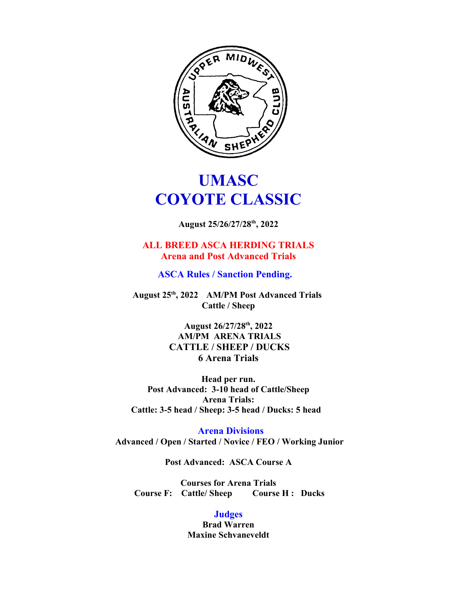

# **UMASC COYOTE CLASSIC**

**August 25/26/27/28th, 2022**

**ALL BREED ASCA HERDING TRIALS Arena and Post Advanced Trials**

**ASCA Rules / Sanction Pending.** 

**August 25th, 2022 AM/PM Post Advanced Trials Cattle / Sheep**

> **August 26/27/28th, 2022 AM/PM ARENA TRIALS CATTLE / SHEEP / DUCKS 6 Arena Trials**

**Head per run. Post Advanced: 3-10 head of Cattle/Sheep Arena Trials: Cattle: 3-5 head / Sheep: 3-5 head / Ducks: 5 head** 

 **Arena Divisions Advanced / Open / Started / Novice / FEO / Working Junior**

**Post Advanced: ASCA Course A**

**Courses for Arena Trials Course F: Cattle/ Sheep Course H : Ducks**

#### **Judges**

**Brad Warren Maxine Schvaneveldt**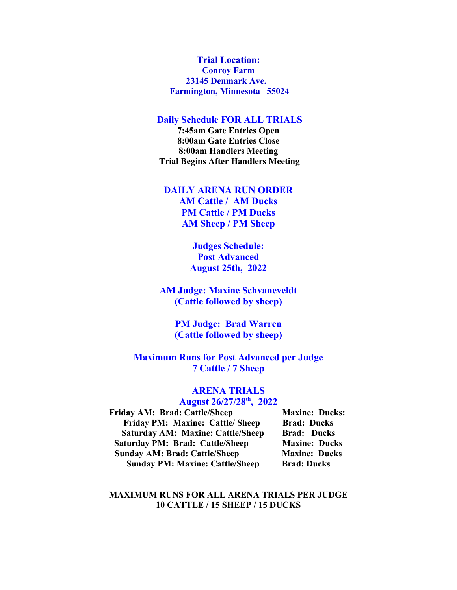**Trial Location: Conroy Farm 23145 Denmark Ave. Farmington, Minnesota 55024**

#### **Daily Schedule FOR ALL TRIALS**

**7:45am Gate Entries Open 8:00am Gate Entries Close 8:00am Handlers Meeting Trial Begins After Handlers Meeting**

#### **DAILY ARENA RUN ORDER**

**AM Cattle / AM Ducks PM Cattle / PM Ducks AM Sheep / PM Sheep**

> **Judges Schedule: Post Advanced August 25th, 2022**

**AM Judge: Maxine Schvaneveldt (Cattle followed by sheep)**

> **PM Judge: Brad Warren (Cattle followed by sheep)**

# **Maximum Runs for Post Advanced per Judge 7 Cattle / 7 Sheep**

# **ARENA TRIALS**

## **August 26/27/28th, 2022**

Friday AM: Brad: Cattle/Sheep **Maxine: Ducks: Friday PM: Maxine: Cattle/ Sheep Brad: Ducks** Saturday AM: Maxine: Cattle/Sheep Brad: Ducks **Saturday PM: Brad: Cattle/Sheep Maxine: Ducks Sunday AM: Brad: Cattle/Sheep Maxine: Ducks Sunday PM: Maxine: Cattle/Sheep Brad: Ducks** 

#### **MAXIMUM RUNS FOR ALL ARENA TRIALS PER JUDGE 10 CATTLE / 15 SHEEP / 15 DUCKS**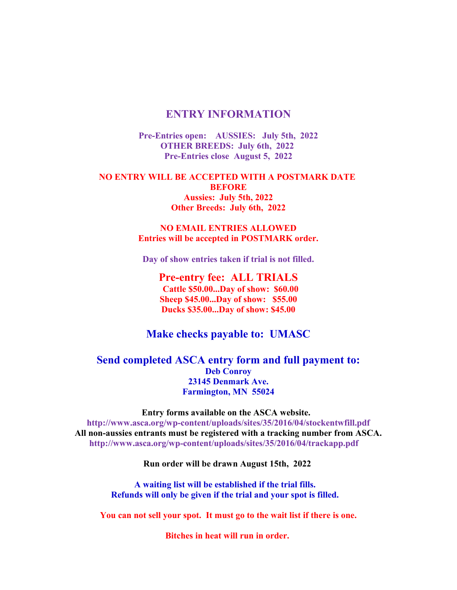# **ENTRY INFORMATION**

**Pre-Entries open: AUSSIES: July 5th, 2022 OTHER BREEDS: July 6th, 2022 Pre-Entries close August 5, 2022**

#### **NO ENTRY WILL BE ACCEPTED WITH A POSTMARK DATE BEFORE**

**Aussies: July 5th, 2022 Other Breeds: July 6th, 2022**

**NO EMAIL ENTRIES ALLOWED Entries will be accepted in POSTMARK order.**

**Day of show entries taken if trial is not filled.**

**Pre-entry fee: ALL TRIALS Cattle \$50.00...Day of show: \$60.00 Sheep \$45.00...Day of show: \$55.00 Ducks \$35.00...Day of show: \$45.00**

#### **Make checks payable to: UMASC**

# **Send completed ASCA entry form and full payment to: Deb Conroy 23145 Denmark Ave. Farmington, MN 55024**

**Entry forms available on the ASCA website. http://www.asca.org/wp-content/uploads/sites/35/2016/04/stockentwfill.pdf All non-aussies entrants must be registered with a tracking number from ASCA. http://www.asca.org/wp-content/uploads/sites/35/2016/04/trackapp.pdf** 

**Run order will be drawn August 15th, 2022** 

**A waiting list will be established if the trial fills. Refunds will only be given if the trial and your spot is filled.** 

**You can not sell your spot. It must go to the wait list if there is one.**

**Bitches in heat will run in order.**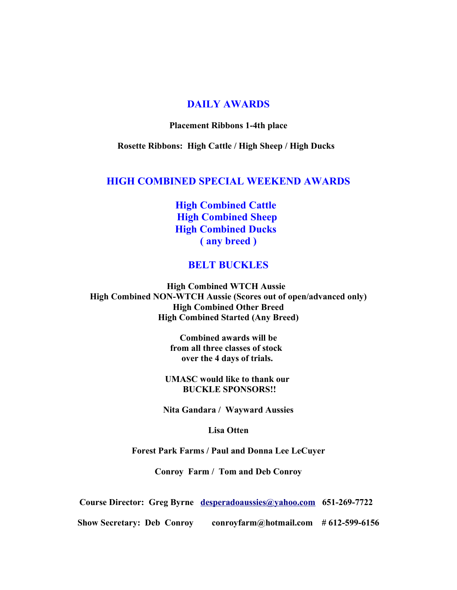# **DAILY AWARDS**

**Placement Ribbons 1-4th place**

**Rosette Ribbons: High Cattle / High Sheep / High Ducks** 

# **HIGH COMBINED SPECIAL WEEKEND AWARDS**

**High Combined Cattle High Combined Sheep High Combined Ducks ( any breed )**

## **BELT BUCKLES**

**High Combined WTCH Aussie High Combined NON-WTCH Aussie (Scores out of open/advanced only) High Combined Other Breed High Combined Started (Any Breed)**

> **Combined awards will be from all three classes of stock over the 4 days of trials.**

**UMASC would like to thank our BUCKLE SPONSORS!!**

**Nita Gandara / Wayward Aussies**

**Lisa Otten**

**Forest Park Farms / Paul and Donna Lee LeCuyer**

**Conroy Farm / Tom and Deb Conroy**

**Course Director: Greg Byrne [desperadoaussies@yahoo.com](mailto:desperadoaussies@yahoo.com) 651-269-7722** 

**Show Secretary: Deb Conroy conroyfarm@hotmail.com # 612-599-6156**